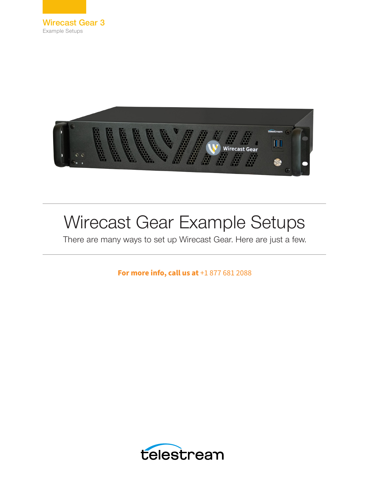



# Wirecast Gear Example Setups

There are many ways to set up Wirecast Gear. Here are just a few.

**For more info, call us at**  $+18776812088$ 

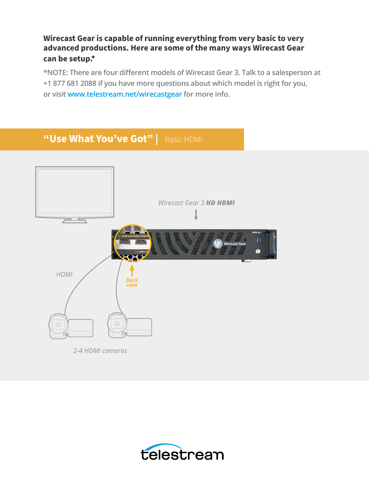#### **Wirecast Gear is capable of running everything from very basic to very advanced productions. Here are some of the many ways Wirecast Gear can be setup.\***

**\*NOTE: There are four different models of Wirecast Gear 3. Talk to a salesperson at +1 877 681 2088 if you have more questions about which model is right for you, or visit www.telestream.net/wirecastgear for more info.**



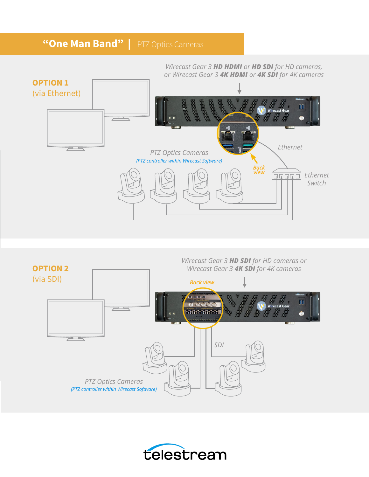### **"One Man Band" | PTZ Optics Cameras**





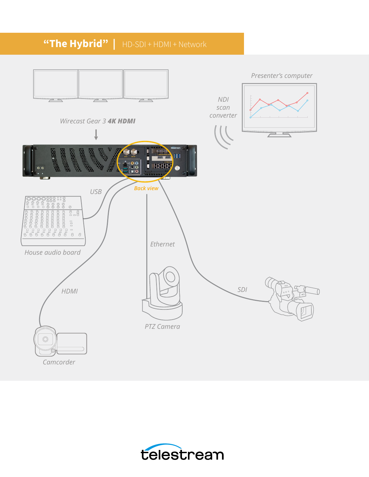## **"The Hybrid"** | HD-SDI + HDMI + Network